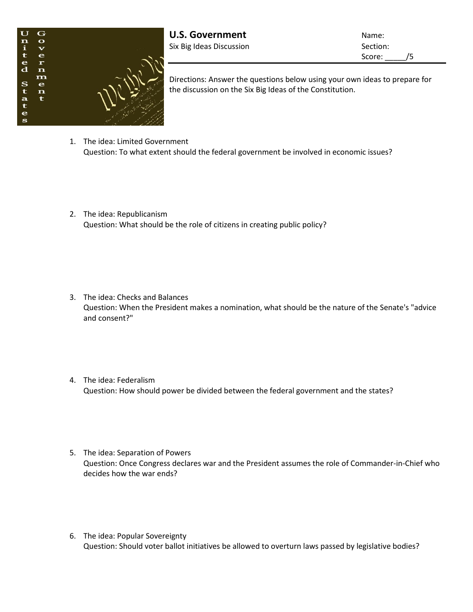

**U.S. Government** Name: Six Big Ideas Discussion Six Big Ideas Oiscussion

Score: /5

Directions: Answer the questions below using your own ideas to prepare for the discussion on the Six Big Ideas of the Constitution.

- 1. The idea: Limited Government Question: To what extent should the federal government be involved in economic issues?
- 2. The idea: Republicanism Question: What should be the role of citizens in creating public policy?

- 3. The idea: Checks and Balances Question: When the President makes a nomination, what should be the nature of the Senate's "advice and consent?"
- 4. The idea: Federalism Question: How should power be divided between the federal government and the states?
- 5. The idea: Separation of Powers Question: Once Congress declares war and the President assumes the role of Commander-in-Chief who decides how the war ends?
- 6. The idea: Popular Sovereignty Question: Should voter ballot initiatives be allowed to overturn laws passed by legislative bodies?